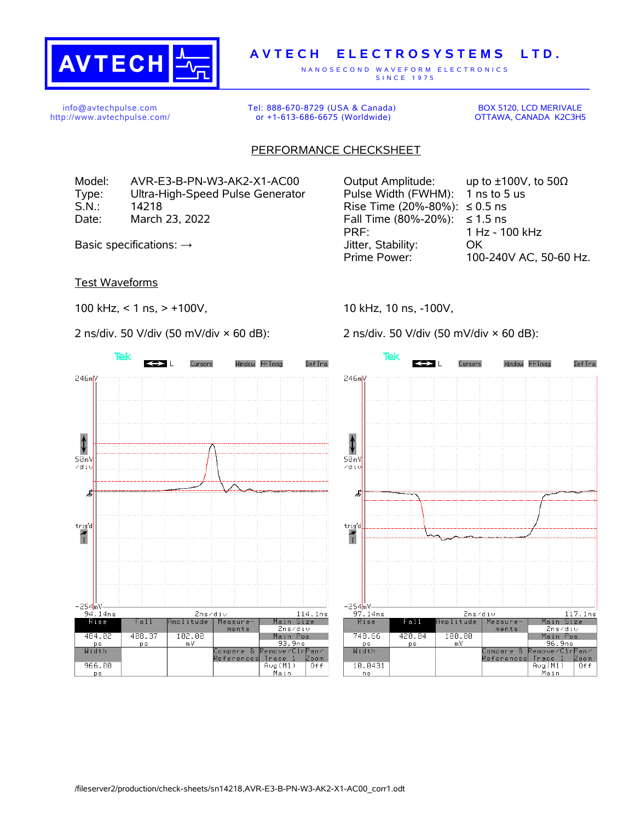

## **A V T E C H E L E C T R O S Y S T E M S L T D .**

N A N O S E C O N D W A V E F O R M E L E C T R O N I C S S IN C E 1975

info@avtechpulse.com http://www.avtechpulse.com/ Tel: 888-670-8729 (USA & Canada) or +1-613-686-6675 (Worldwide)

BOX 5120, LCD MERIVALE OTTAWA, CANADA K2C3H5

## PERFORMANCE CHECKSHEET

Type: Ultra-High-Speed Pulse Generator Pulse Width (FWHM): 1 ns to 5 us S.N.: 14218 **Rise Time (20%-80%): ≤ 0.5 ns** Date: March 23, 2022 Fall Time (80%-20%): ≤ 1.5 ns

Test Waveforms

**Tek** 

246mV

⇕

 $50mV$ 

∕di∪

虏

 $trig'd$ 

 $\frac{1}{\tau}$ 

—254mV<br>94.14ns

Rise

484.02

 $\frac{\mathsf{ps}}{\mathsf{Width}}$ 

966.00

ps

 $Fall$ 

408.37

ps

100 kHz, < 1 ns, > +100V,

2 ns/div. 50 V/div (50 mV/div × 60 dB):

Cursors

Window FFTmag

 $\leftrightarrow$ 



10 kHz, 10 ns, -100V,

2 ns/div. 50 V/div (50 mV/div × 60 dB):



2ns/div

Measure

ments

Compare &<br>References

Trace 1

 $Avg(M1)$ 

<u> Main</u>

nplitude

102.00

m V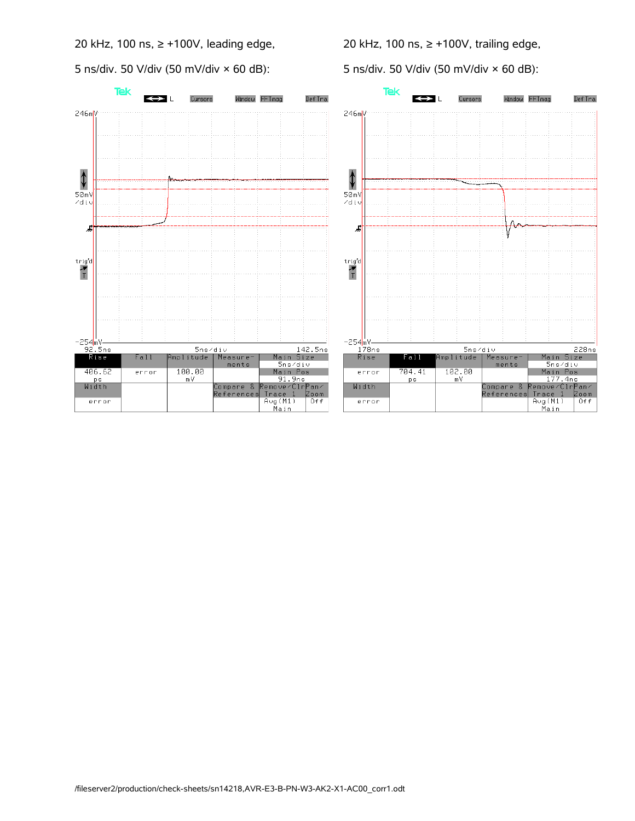20 kHz, 100 ns, ≥ +100V, leading edge,

5 ns/div. 50 V/div (50 mV/div × 60 dB):

20 kHz, 100 ns, ≥ +100V, trailing edge,

5 ns/div. 50 V/div (50 mV/div × 60 dB):